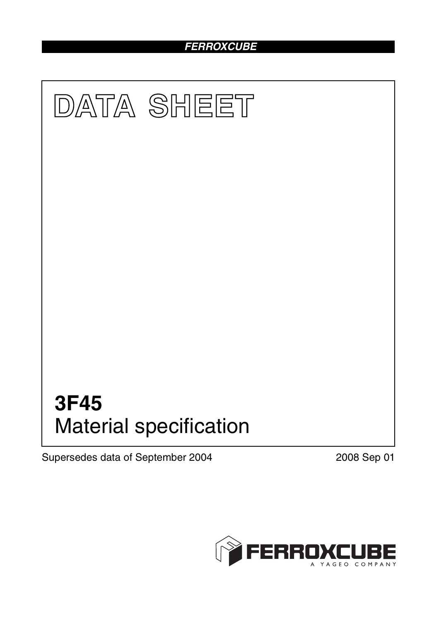## *FERROXCUBE*



Supersedes data of September 2004 2008 Sep 01

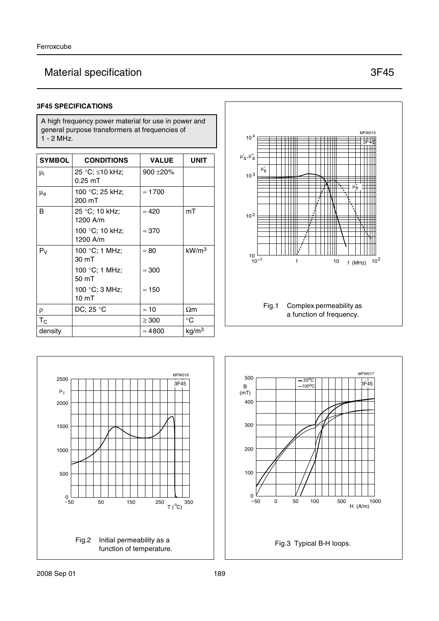## Material specification 3F45

#### **3F45 SPECIFICATIONS**

A high frequency power material for use in power and general purpose transformers at frequencies of 1 - 2 MHz.

| <b>SYMBOL</b> | <b>CONDITIONS</b>                    | <b>VALUE</b>   | UNIT              |
|---------------|--------------------------------------|----------------|-------------------|
| μi            | 25 °C; ≤10 kHz;<br>$0.25 \text{ mT}$ | $900 + 20\%$   |                   |
| $\mu_{\rm a}$ | 100 °C; 25 kHz;<br>200 mT            | $\approx$ 1700 |                   |
| В             | 25 °C; 10 kHz;<br>1200 A/m           | $\approx 420$  | mT                |
|               | 100 °C; 10 kHz;<br>1200 A/m          | $\approx 370$  |                   |
| $P_V$         | 100 °C; 1 MHz;<br>30 mT              | $\approx 80$   | kW/m <sup>3</sup> |
|               | 100 °C; 1 MHz;<br>50 mT              | $\approx 300$  |                   |
|               | 100 °C; 3 MHz;<br>10 <sub>mT</sub>   | $\approx 150$  |                   |
| ρ             | DC; 25 $^{\circ}$ C                  | $\approx$ 10   | $\Omega$ m        |
| $T_C$         |                                      | $\geq 300$     | $^{\circ}C$       |
| density       |                                      | $\approx 4800$ | kg/m <sup>3</sup> |





![](_page_1_Figure_7.jpeg)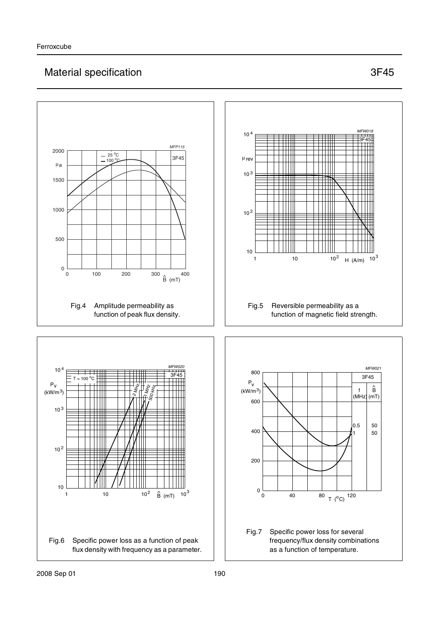## Material specification 3F45

![](_page_2_Figure_3.jpeg)